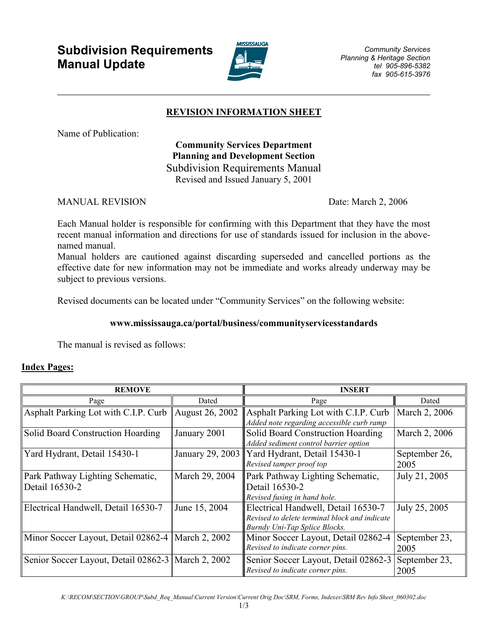# Subdivision Requirements Manual Update



## REVISION INFORMATION SHEET

Name of Publication:

## Community Services Department Planning and Development Section Subdivision Requirements Manual Revised and Issued January 5, 2001

MANUAL REVISION Date: March 2, 2006

Each Manual holder is responsible for confirming with this Department that they have the most recent manual information and directions for use of standards issued for inclusion in the abovenamed manual.

Manual holders are cautioned against discarding superseded and cancelled portions as the effective date for new information may not be immediate and works already underway may be subject to previous versions.

Revised documents can be located under "Community Services" on the following website:

### www.mississauga.ca/portal/business/communityservicesstandards

The manual is revised as follows:

### Index Pages:

| <b>REMOVE</b>                                        |                 | <b>INSERT</b>                                                                                                         |                       |
|------------------------------------------------------|-----------------|-----------------------------------------------------------------------------------------------------------------------|-----------------------|
| Page                                                 | Dated           | Page                                                                                                                  | Dated                 |
| Asphalt Parking Lot with C.I.P. Curb                 | August 26, 2002 | Asphalt Parking Lot with C.I.P. Curb<br>Added note regarding accessible curb ramp                                     | March 2, 2006         |
| Solid Board Construction Hoarding                    | January 2001    | Solid Board Construction Hoarding<br>Added sediment control barrier option                                            | March 2, 2006         |
| Yard Hydrant, Detail 15430-1                         |                 | January 29, 2003   Yard Hydrant, Detail 15430-1<br>Revised tamper proof top                                           | September 26,<br>2005 |
| Park Pathway Lighting Schematic,<br>Detail 16530-2   | March 29, 2004  | Park Pathway Lighting Schematic,<br>Detail 16530-2<br>Revised fusing in hand hole.                                    | July 21, 2005         |
| Electrical Handwell, Detail 16530-7                  | June 15, 2004   | Electrical Handwell, Detail 16530-7<br>Revised to delete terminal block and indicate<br>Burndy Uni-Tap Splice Blocks. | July 25, 2005         |
| Minor Soccer Layout, Detail 02862-4   March 2, 2002  |                 | Minor Soccer Layout, Detail 02862-4<br>Revised to indicate corner pins.                                               | September 23,<br>2005 |
| Senior Soccer Layout, Detail 02862-3   March 2, 2002 |                 | Senior Soccer Layout, Detail 02862-3<br>Revised to indicate corner pins.                                              | September 23,<br>2005 |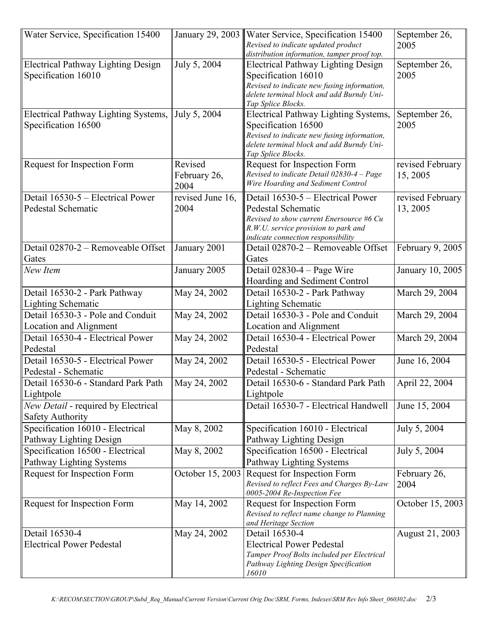| Water Service, Specification 15400                           | January 29, 2003                | Water Service, Specification 15400<br>Revised to indicate updated product<br>distribution information, tamper proof top.                                                           | September 26,<br>2005        |
|--------------------------------------------------------------|---------------------------------|------------------------------------------------------------------------------------------------------------------------------------------------------------------------------------|------------------------------|
| Electrical Pathway Lighting Design<br>Specification 16010    | July 5, 2004                    | <b>Electrical Pathway Lighting Design</b><br>Specification 16010<br>Revised to indicate new fusing information,<br>delete terminal block and add Burndy Uni-<br>Tap Splice Blocks. | September 26,<br>2005        |
| Electrical Pathway Lighting Systems,<br>Specification 16500  | July 5, 2004                    | Electrical Pathway Lighting Systems,<br>Specification 16500<br>Revised to indicate new fusing information,<br>delete terminal block and add Burndy Uni-<br>Tap Splice Blocks.      | September 26,<br>2005        |
| Request for Inspection Form                                  | Revised<br>February 26,<br>2004 | Request for Inspection Form<br>Revised to indicate Detail 02830-4 - Page<br>Wire Hoarding and Sediment Control                                                                     | revised February<br>15, 2005 |
| Detail 16530-5 – Electrical Power<br>Pedestal Schematic      | revised June 16,<br>2004        | Detail 16530-5 – Electrical Power<br>Pedestal Schematic<br>Revised to show current Enersource #6 Cu<br>R.W.U. service provision to park and<br>indicate connection responsibility  | revised February<br>13, 2005 |
| Detail 02870-2 - Removeable Offset<br>Gates                  | January 2001                    | Detail 02870-2 - Removeable Offset<br>Gates                                                                                                                                        | February 9, 2005             |
| New Item                                                     | January 2005                    | Detail $02830-4$ – Page Wire<br>Hoarding and Sediment Control                                                                                                                      | January 10, 2005             |
| Detail 16530-2 - Park Pathway<br><b>Lighting Schematic</b>   | May 24, 2002                    | Detail 16530-2 - Park Pathway<br><b>Lighting Schematic</b>                                                                                                                         | March 29, 2004               |
| Detail 16530-3 - Pole and Conduit<br>Location and Alignment  | May 24, 2002                    | Detail 16530-3 - Pole and Conduit<br>Location and Alignment                                                                                                                        | March 29, 2004               |
| Detail 16530-4 - Electrical Power<br>Pedestal                | May 24, 2002                    | Detail 16530-4 - Electrical Power<br>Pedestal                                                                                                                                      | March 29, 2004               |
| Detail 16530-5 - Electrical Power<br>Pedestal - Schematic    | May 24, 2002                    | Detail 16530-5 - Electrical Power<br>Pedestal - Schematic                                                                                                                          | June 16, 2004                |
| Detail 16530-6 - Standard Park Path<br>Lightpole             | May 24, 2002                    | Detail 16530-6 - Standard Park Path<br>Lightpole                                                                                                                                   | April 22, 2004               |
| New Detail - required by Electrical<br>Safety Authority      |                                 | Detail 16530-7 - Electrical Handwell                                                                                                                                               | June 15, 2004                |
| Specification 16010 - Electrical<br>Pathway Lighting Design  | May 8, 2002                     | Specification 16010 - Electrical<br>Pathway Lighting Design                                                                                                                        | July 5, 2004                 |
| Specification 16500 - Electrical<br>Pathway Lighting Systems | May 8, 2002                     | Specification 16500 - Electrical<br>Pathway Lighting Systems                                                                                                                       | July 5, 2004                 |
| Request for Inspection Form                                  | October 15, 2003                | Request for Inspection Form<br>Revised to reflect Fees and Charges By-Law<br>0005-2004 Re-Inspection Fee                                                                           | February 26,<br>2004         |
| Request for Inspection Form                                  | May 14, 2002                    | Request for Inspection Form<br>Revised to reflect name change to Planning<br>and Heritage Section                                                                                  | October 15, 2003             |
| Detail 16530-4<br><b>Electrical Power Pedestal</b>           | May 24, 2002                    | Detail 16530-4<br><b>Electrical Power Pedestal</b><br>Tamper Proof Bolts included per Electrical<br>Pathway Lighting Design Specification<br>16010                                 | August 21, 2003              |